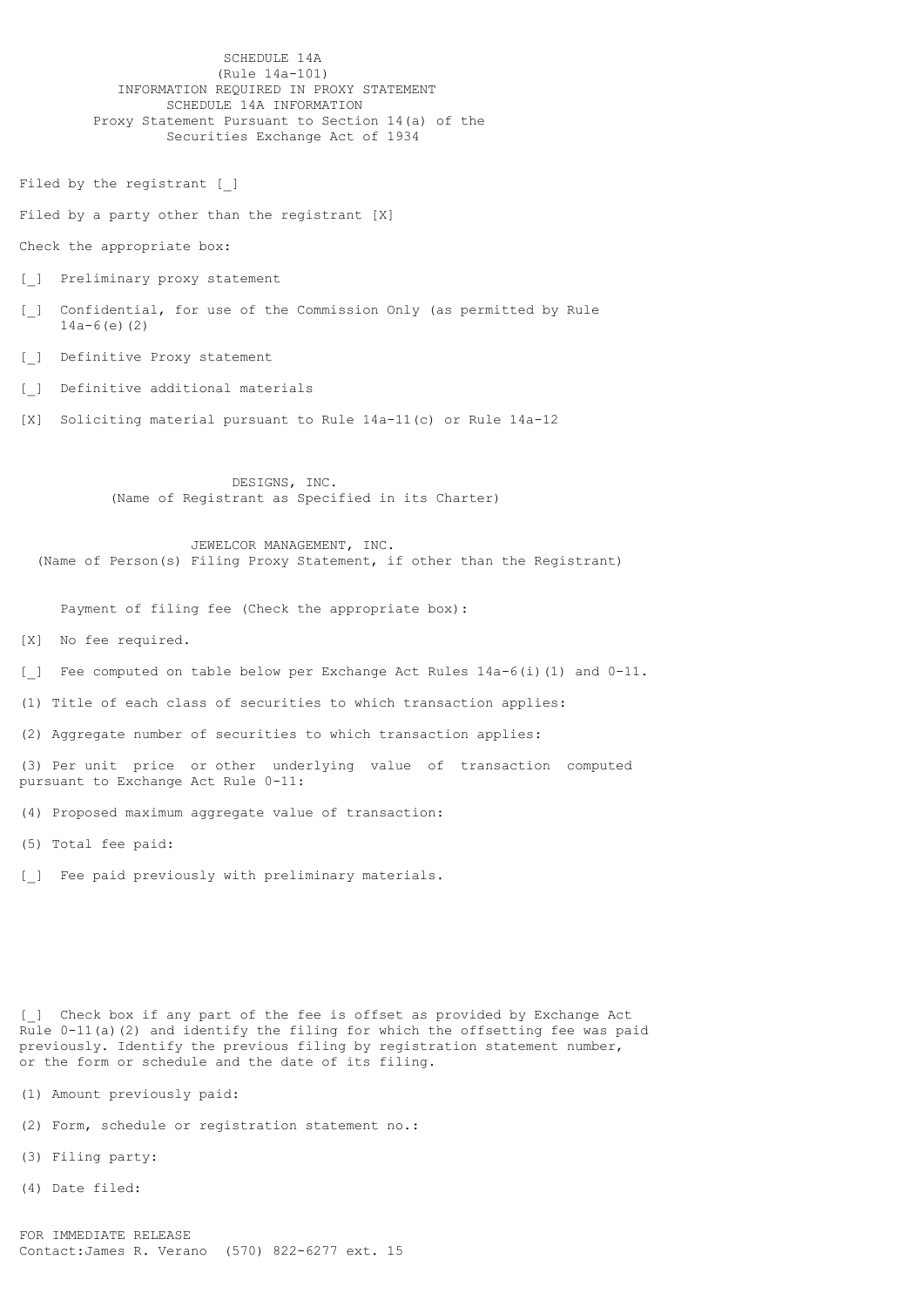SCHEDULE 14A (Rule 14a-101) INFORMATION REQUIRED IN PROXY STATEMENT SCHEDULE 14A INFORMATION Proxy Statement Pursuant to Section 14(a) of the Securities Exchange Act of 1934

Filed by the registrant [ ]

Filed by a party other than the registrant [X]

Check the appropriate box:

[ ] Preliminary proxy statement

[\_] Confidential, for use of the Commission Only (as permitted by Rule 14a-6(e)(2)

[ ] Definitive Proxy statement

[ ] Definitive additional materials

[X] Soliciting material pursuant to Rule 14a-11(c) or Rule 14a-12

 DESIGNS, INC. (Name of Registrant as Specified in its Charter)

 JEWELCOR MANAGEMENT, INC. (Name of Person(s) Filing Proxy Statement, if other than the Registrant)

Payment of filing fee (Check the appropriate box):

[X] No fee required.

[] Fee computed on table below per Exchange Act Rules  $14a-6(i)$  (1) and  $0-11$ .

(1) Title of each class of securities to which transaction applies:

(2) Aggregate number of securities to which transaction applies:

(3) Per unit price or other underlying value of transaction computed pursuant to Exchange Act Rule 0-11:

(4) Proposed maximum aggregate value of transaction:

(5) Total fee paid:

[] Fee paid previously with preliminary materials.

[] Check box if any part of the fee is offset as provided by Exchange Act Rule 0-11(a)(2) and identify the filing for which the offsetting fee was paid previously. Identify the previous filing by registration statement number, or the form or schedule and the date of its filing.

(1) Amount previously paid:

(2) Form, schedule or registration statement no.:

(3) Filing party:

(4) Date filed: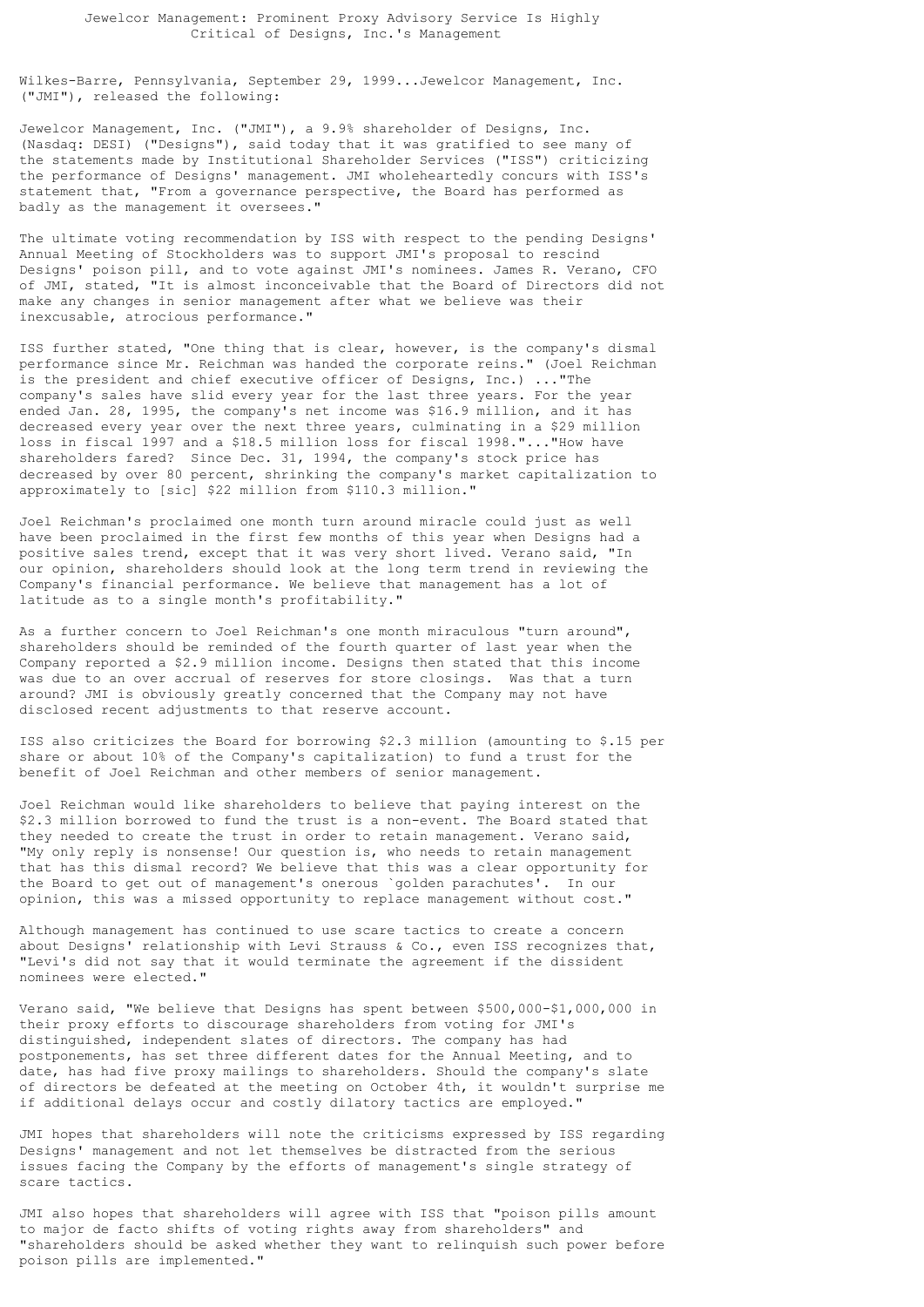## Jewelcor Management: Prominent Proxy Advisory Service Is Highly Critical of Designs, Inc.'s Management

Wilkes-Barre, Pennsylvania, September 29, 1999...Jewelcor Management, Inc. ("JMI"), released the following:

Jewelcor Management, Inc. ("JMI"), a 9.9% shareholder of Designs, Inc. (Nasdaq: DESI) ("Designs"), said today that it was gratified to see many of the statements made by Institutional Shareholder Services ("ISS") criticizing the performance of Designs' management. JMI wholeheartedly concurs with ISS's statement that, "From a governance perspective, the Board has performed as badly as the management it oversees."

The ultimate voting recommendation by ISS with respect to the pending Designs' Annual Meeting of Stockholders was to support JMI's proposal to rescind Designs' poison pill, and to vote against JMI's nominees. James R. Verano, CFO of JMI, stated, "It is almost inconceivable that the Board of Directors did not make any changes in senior management after what we believe was their inexcusable, atrocious performance."

ISS further stated, "One thing that is clear, however, is the company's dismal performance since Mr. Reichman was handed the corporate reins." (Joel Reichman is the president and chief executive officer of Designs, Inc.) ..."The company's sales have slid every year for the last three years. For the year ended Jan. 28, 1995, the company's net income was \$16.9 million, and it has decreased every year over the next three years, culminating in a \$29 million loss in fiscal 1997 and a \$18.5 million loss for fiscal 1998."..."How have shareholders fared? Since Dec. 31, 1994, the company's stock price has decreased by over 80 percent, shrinking the company's market capitalization to approximately to [sic] \$22 million from \$110.3 million."

Joel Reichman's proclaimed one month turn around miracle could just as well have been proclaimed in the first few months of this year when Designs had a positive sales trend, except that it was very short lived. Verano said, "In our opinion, shareholders should look at the long term trend in reviewing the Company's financial performance. We believe that management has a lot of latitude as to a single month's profitability."

As a further concern to Joel Reichman's one month miraculous "turn around", shareholders should be reminded of the fourth quarter of last year when the Company reported a \$2.9 million income. Designs then stated that this income was due to an over accrual of reserves for store closings. Was that a turn around? JMI is obviously greatly concerned that the Company may not have disclosed recent adjustments to that reserve account.

ISS also criticizes the Board for borrowing \$2.3 million (amounting to \$.15 per share or about 10% of the Company's capitalization) to fund a trust for the benefit of Joel Reichman and other members of senior management.

Joel Reichman would like shareholders to believe that paying interest on the \$2.3 million borrowed to fund the trust is a non-event. The Board stated that they needed to create the trust in order to retain management. Verano said, "My only reply is nonsense! Our question is, who needs to retain management that has this dismal record? We believe that this was a clear opportunity for the Board to get out of management's onerous `golden parachutes'. In our opinion, this was a missed opportunity to replace management without cost."

Although management has continued to use scare tactics to create a concern about Designs' relationship with Levi Strauss  $\&$  Co., even ISS recognizes that, "Levi's did not say that it would terminate the agreement if the dissident nominees were elected."

Verano said, "We believe that Designs has spent between \$500,000-\$1,000,000 in their proxy efforts to discourage shareholders from voting for JMI's distinguished, independent slates of directors. The company has had postponements, has set three different dates for the Annual Meeting, and to date, has had five proxy mailings to shareholders. Should the company's slate of directors be defeated at the meeting on October 4th, it wouldn't surprise me if additional delays occur and costly dilatory tactics are employed."

JMI hopes that shareholders will note the criticisms expressed by ISS regarding Designs' management and not let themselves be distracted from the serious issues facing the Company by the efforts of management's single strategy of scare tactics.

JMI also hopes that shareholders will agree with ISS that "poison pills amount to major de facto shifts of voting rights away from shareholders" and "shareholders should be asked whether they want to relinquish such power before poison pills are implemented."